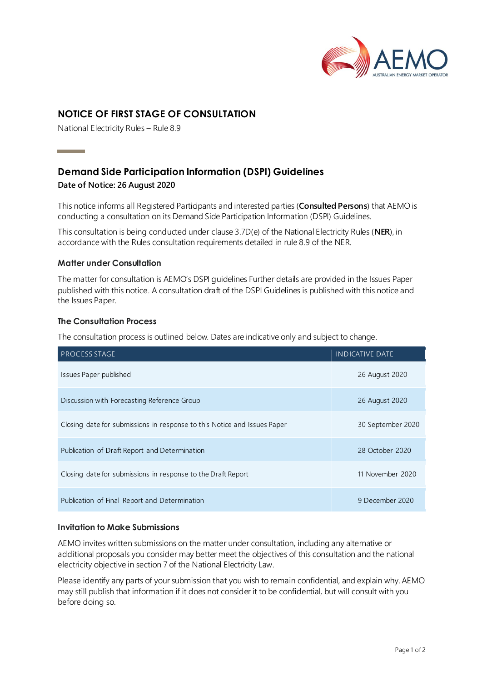

# **NOTICE OF FIRST STAGE OF CONSULTATION**

National Electricity Rules – Rule 8.9

# **Demand Side Participation Information (DSPI) Guidelines**

### **Date of Notice: 26 August 2020**

**Contract Contract Contract** 

This notice informs all Registered Participants and interested parties (**Consulted Persons**) that AEMO is conducting a consultation on its Demand Side Participation Information (DSPI) Guidelines.

This consultation is being conducted under clause 3.7D(e) of the National Electricity Rules (**NER**), in accordance with the Rules consultation requirements detailed in rule 8.9 of the NER.

## **Matter under Consultation**

The matter for consultation is AEMO's DSPI guidelines Further details are provided in the Issues Paper published with this notice. A consultation draft of the DSPI Guidelines is published with this notice and the Issues Paper.

### **The Consultation Process**

The consultation process is outlined below. Dates are indicative only and subject to change.

| <b>PROCESS STAGE</b>                                                     | <b>INDICATIVE DATE</b> |
|--------------------------------------------------------------------------|------------------------|
| Issues Paper published                                                   | 26 August 2020         |
| Discussion with Forecasting Reference Group                              | 26 August 2020         |
| Closing date for submissions in response to this Notice and Issues Paper | 30 September 2020      |
| Publication of Draft Report and Determination                            | 28 October 2020        |
| Closing date for submissions in response to the Draft Report             | 11 November 2020       |
| Publication of Final Report and Determination                            | 9 December 2020        |

## **Invitation to Make Submissions**

AEMO invites written submissions on the matter under consultation, including any alternative or additional proposals you consider may better meet the objectives of this consultation and the national electricity objective in section 7 of the National Electricity Law.

Please identify any parts of your submission that you wish to remain confidential, and explain why. AEMO may still publish that information if it does not consider it to be confidential, but will consult with you before doing so.